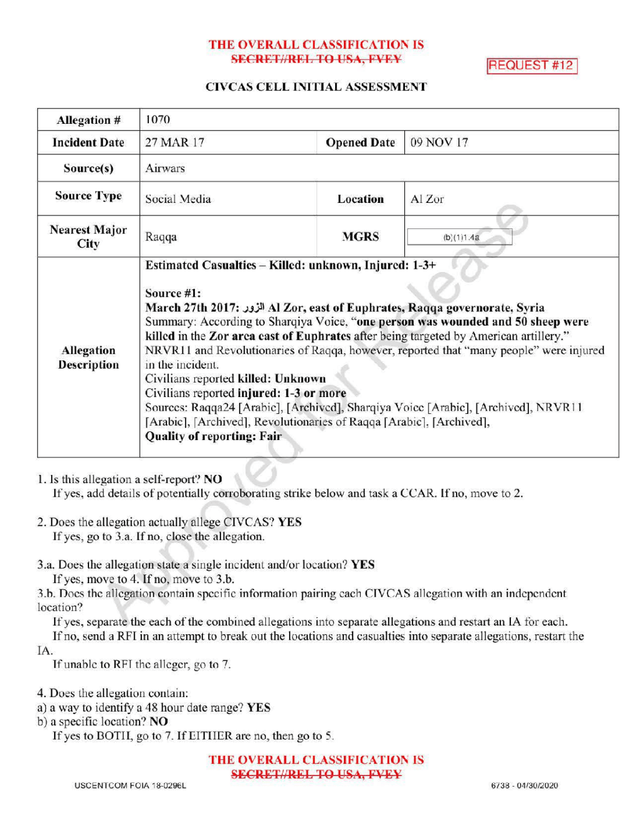### THE OVERALL CLASSIFICATION IS **SECRET//REL TO USA, FVEY**

**REQUEST #12** 

### CIVCAS CELL INITIAL ASSESSMENT

| <b>Allegation #</b>              | 1070                                                                                                                                                                                                                                                                                                                                                                                                                                                                                                                                                                                                                                                                                                                            |                    |               |
|----------------------------------|---------------------------------------------------------------------------------------------------------------------------------------------------------------------------------------------------------------------------------------------------------------------------------------------------------------------------------------------------------------------------------------------------------------------------------------------------------------------------------------------------------------------------------------------------------------------------------------------------------------------------------------------------------------------------------------------------------------------------------|--------------------|---------------|
| <b>Incident Date</b>             | 27 MAR 17                                                                                                                                                                                                                                                                                                                                                                                                                                                                                                                                                                                                                                                                                                                       | <b>Opened Date</b> | 09 NOV 17     |
| Source(s)                        | Airwars                                                                                                                                                                                                                                                                                                                                                                                                                                                                                                                                                                                                                                                                                                                         |                    |               |
| <b>Source Type</b>               | Social Media                                                                                                                                                                                                                                                                                                                                                                                                                                                                                                                                                                                                                                                                                                                    | Location           | Al Zor        |
| <b>Nearest Major</b><br>City     | Raqqa                                                                                                                                                                                                                                                                                                                                                                                                                                                                                                                                                                                                                                                                                                                           | <b>MGRS</b>        | $(b)$ (1)1.4a |
| Allegation<br><b>Description</b> | Estimated Casualties - Killed: unknown, Injured: 1-3+<br>Source #1:<br>March 27th 2017: الزور Al Zor, east of Euphrates, Raqqa governorate, Syria<br>Summary: According to Sharqiya Voice, "one person was wounded and 50 sheep were<br>killed in the Zor area cast of Euphrates after being targeted by American artillery."<br>NRVR11 and Revolutionaries of Raqqa, however, reported that "many people" were injured<br>in the incident.<br>Civilians reported killed: Unknown<br>Civilians reported injured: 1-3 or more<br>Sources: Raqqa24 [Arabic], [Archived], Sharqiya Voice [Arabic], [Archived], NRVR11<br>[Arabic], [Archived], Revolutionaries of Raqqa [Arabic], [Archived],<br><b>Quality of reporting: Fair</b> |                    |               |

1. Isthis allegation a self-report? NO

If yes, add details of potentially corroborating strike below and task a CCAR. If no, move to 2.

- 2. Does the allegation actually allege CIVCAS? YES If yes, go to 3.a. If no, close the allegation.
- 3.a. Does the allegation state a single incident and/or location? YES

If yes, move to 4. If no, move to  $3.b.$ 

3.b. Does the allegation contain specific information pairing each CIVCAS allegation with an independent location?

If yes, separate the each of the combined allegations into separate allegations and restart an IA for each. Ifno, send <sup>a</sup> RFI in an attempt to break out the locations and casualties into separate allegations, restart the

IA.

If unable to RFI the alleger, go to 7.

4. Does the allegation contain:

a) <sup>a</sup> way to identify <sup>a</sup> 48 hour date range? YES

b) a specific location? NO

If yes to BOTH, go to 7. If EITHER are no, then go to 5.

THE OVERALL CLASSIFICATION IS **SECRET//REL TO USA, FVEY**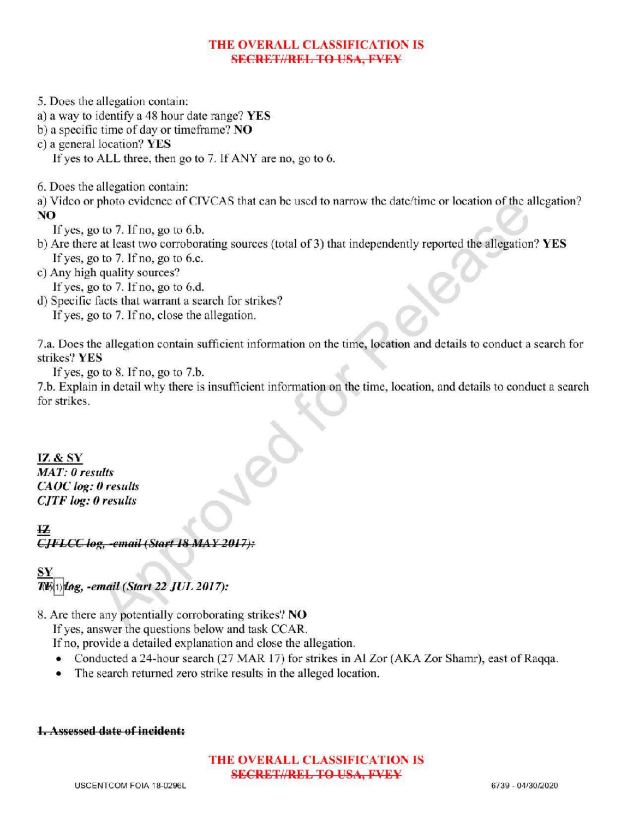# THE OVERALL CLASSIFICATION IS **SECRET//REL TO USA, FVEY**

- 5. Does the allegation contain:
- a) <sup>a</sup> way to identify a 48 hour date range? YES
- b) a specific time of day or timeframe? NO
- c) a general location? YES

If yes to ALL three, then go to 7. If ANY are no, go to 6.

6. Does the allegation contain:

a) Video or photo evidence of CIVCAS that can be used to narrow the date/time or location of the allegation? NO

If yes, go to  $7.$  If no, go to  $6.b$ .

- b) Are there at least two corroborating sources (total of 3) that independently reported the allegation? YES If yes, go to  $7.$  If no, go to 6.c.
- c) Any high quality sources?
- If yes, go to  $7.$  If no, go to  $6.d.$
- d) Specific facts that warrant a search for strikes? If yes, go to 7. If no, close the allegation.

7.a. Does the allegation contain sufficient information on the time, locationand details to conduct <sup>a</sup> search for strikes? YES

If yes, go to  $8$ . If no, go to  $7.b$ .

7.b. Explain in detail why there is insufficient information on the time, location, and details to conduct a search for strikes.

IZ & SY MAT: 0 results CAOC log: 0 results **CJTF** log: 0 results

12 CJFLCC log, -email (Start 18 MAY 2017):

 $1)$ log, -email (Start 22 JUL 2017):

8. Are there any potentially corroborating strikes? NO

If yes, answer the questions below and task CCAR.

If no, provide a detailed explanation and close the allegation.

- Conducted a 24-hour search  $(27 \text{ MAR } 17)$  for strikes in Al Zor (AKA Zor Shamr), east of Raqqa.
- The search returned zero strike results in the alleged location.

### 1.Assessed date of incident:

# THE OVERALL CLASSIFICATION IS SECRET//REL TO USA, FVEY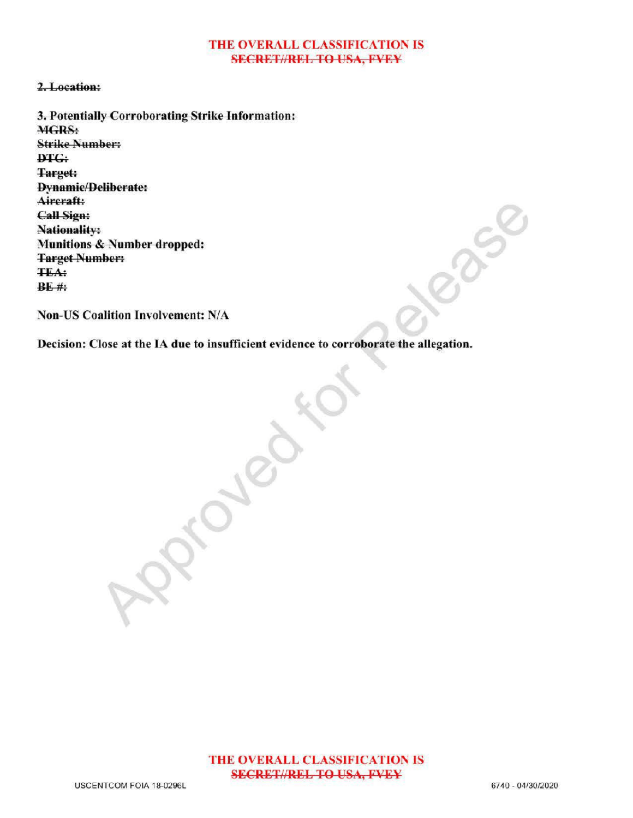#### THE OVERALL CLASSIFICATION IS **SECRET//REL TO USA, FVEY**

#### 2. Location:

3. Potentially Corroborating Strike Information: MGRS: Strike Number DTG: Target: **Dynamic/Deliberate:** Aircraft: CallSign: Nationality: Munitions & Number dropped: Target Number **TEA:**  $BF#$ :

Non-US Coalition Involvement: N/A

Decision: Close at the IA due to insufficient evidence to corroborate the allegation.

 $\mathcal{S}_{\infty}$